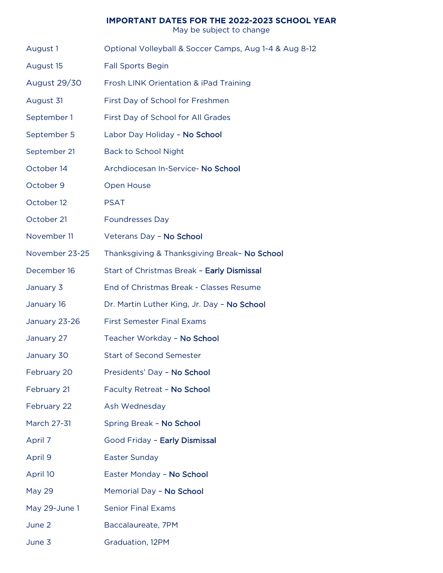## **IMPORTANT DATES FOR THE 2022-2023 SCHOOL YEAR**

May be subject to change

- August 1 Optional Volleyball & Soccer Camps, Aug 1-4 & Aug 8-12
- August 15 Fall Sports Begin
- August 29/30 Frosh LINK Orientation & iPad Training
- August 31 First Day of School for Freshmen
- September 1 First Day of School for All Grades
- September 5 Labor Day Holiday No School
- September 21 Back to School Night
- October 14 Archdiocesan In-Service- No School
- October 9 Open House
- October 12 PSAT
- October 21 Foundresses Day
- November 11 Veterans Day No School
- November 23-25 Thanksgiving & Thanksgiving Break– No School
- December 16 Start of Christmas Break Early Dismissal
- January 3 End of Christmas Break Classes Resume
- January 16 Dr. Martin Luther King, Jr. Day No School
- January 23-26 First Semester Final Exams
- January 27 Teacher Workday No School
- January 30 Start of Second Semester
- February 20 Presidents' Day No School
- February 21 Faculty Retreat No School
- February 22 Ash Wednesday
- March 27-31 Spring Break No School
- April 7 **Good Friday Early Dismissal**
- April 9 Easter Sunday
- April 10 Easter Monday No School
- May 29 Memorial Day No School
- May 29-June 1 Senior Final Exams
- June 2 Baccalaureate, 7PM
- June 3 Graduation, 12PM